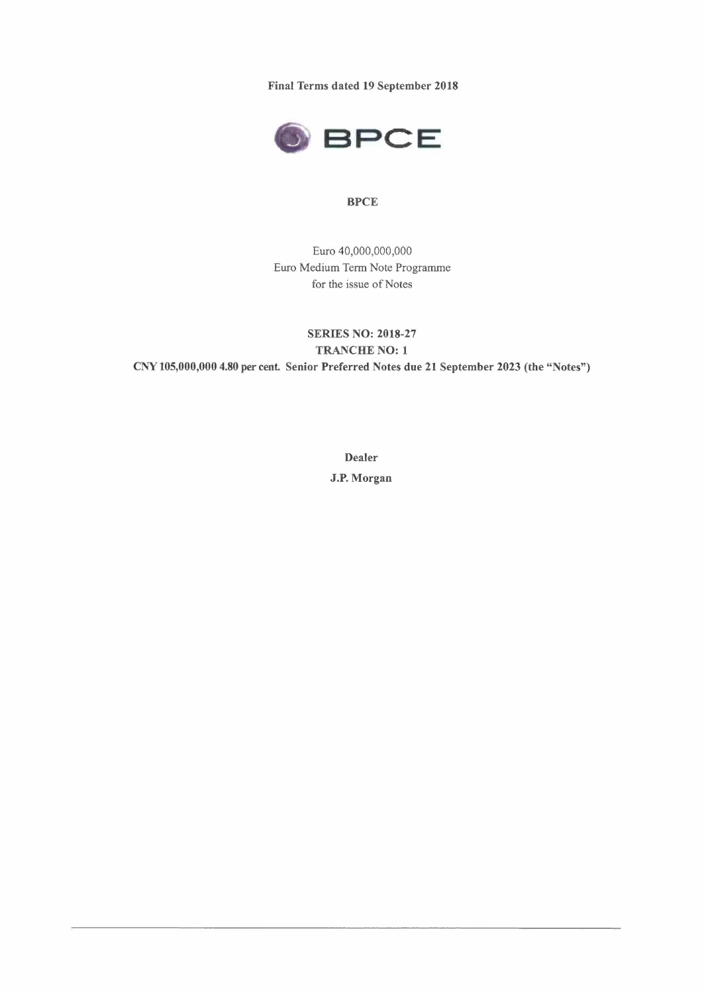**Final Terms dated 19 September 2018** 



## **BPCE**

Euro 40,000,000,000 Euro Medium Term Note Programme for the issue of Notes

**SERIES NO: 2018-27 TRANCHE NO: 1 CNY 105,000,000 4.80 per cent Senior Preferred Notes due 21 September 2023 (the "Notes")** 

> **Dealer J.P. Morgan**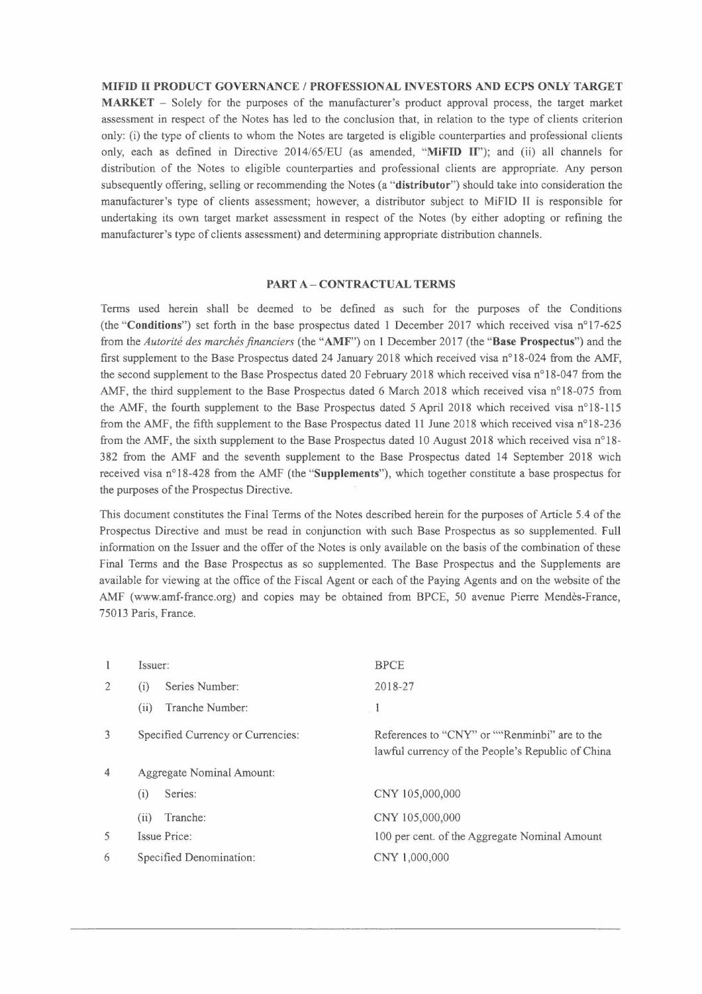**MIFID II PRODUCT GOVERNANCE/ PROFESSIONAL INVESTORS AND ECPS ONLY TARGET MARKET -** Solely for the purposes of the manufacturer's product approval process, the target market assessment in respect of the Notes has led to the conclusion that, in relation to the type of clients criterion only: (i) the type of clients to whom the Notes are targeted is eligible counterparties and professional clients only, each as defined in Directive 2014/65/EU (as amended, **"MiFID Il");** and (ii) all channels for distribution of the Notes to eligible counterparties and professional clients are appropriate. Any person subsequently offering, selling or recommending the Notes (a **"distributor")** should take into consideration the manufacturer's type of clients assessment; however, a distributor subject to MiFID II is responsible for undertaking its own target market assessment in respect of the Notes (by either adopting or refining the manufacturer's type of clients assessment) and determining appropriate distribution channels.

#### **PART A-CONTRACTUAL TERMS**

Terms used herein shall be deemed to be defined as such for the purposes of the Conditions (the **"Conditions")** set forth in the base prospectus dated 1 December 2017 which received visa n°17-625 from the *Autorité des marchés financiers (* the **"AMF")** on 1 December 2017 ( the **"Base Prospectus")** and the first supplement to the Base Prospectus dated 24 January 2018 which received visa n°18-024 from the AMF, the second supplement to the Base Prospectus dated 20 February 2018 which received visa n°18-047 from the AMF, the third supplement to the Base Prospectus dated 6 March 2018 which received visa n°18-075 from the AMF, the fourth supplement to the Base Prospectus dated 5 April 2018 which received visa n°18-115 from the AMF, the fifth supplement to the Base Prospectus dated 11 June 2018 which received visa n°18-236 from the AMF, the sixth supplement to the Base Prospectus dated 10 August 2018 which received visa n°18- 382 from the AMF and the seventh supplement to the Base Prospectus dated 14 September 2018 wich received visa n°18-428 from the AMF (the **"Supplements"),** which together constitute a base prospectus for the purposes of the Prospectus Directive.

This document constitutes the Final Terms of the Notes described herein for the purposes of Article 5.4 of the Prospectus Directive and must be read in conjunction with such Base Prospectus as so supplemented. Full information on the Issuer and the offer of the Notes is only available on the basis of the combination of these Final Terms and the Base Prospectus as so supplemented. The Base Prospectus and the Supplements are available for viewing at the office of the Fiscal Agent or each of the Paying Agents and on the website of the AMF (www.amf-france.org) and copies may be obtained from BPCE, 50 avenue Pierre Mendès-France, 75013 Paris, France.

| 1              | Issuer:                           | <b>BPCE</b>                                                                                        |
|----------------|-----------------------------------|----------------------------------------------------------------------------------------------------|
| $\overline{2}$ | Series Number:<br>(i)             | 2018-27                                                                                            |
|                | Tranche Number:<br>(ii)           | $\mathbf{1}$                                                                                       |
| $\overline{3}$ | Specified Currency or Currencies: | References to "CNY" or ""Renminbi" are to the<br>lawful currency of the People's Republic of China |
| $\overline{4}$ | Aggregate Nominal Amount:         |                                                                                                    |
|                | Series:<br>$\left( 1 \right)$     | CNY 105,000,000                                                                                    |
|                | Tranche:<br>(i)                   | CNY 105,000,000                                                                                    |
| 5              | Issue Price:                      | 100 per cent. of the Aggregate Nominal Amount                                                      |
| 6              | Specified Denomination:           | CNY 1,000,000                                                                                      |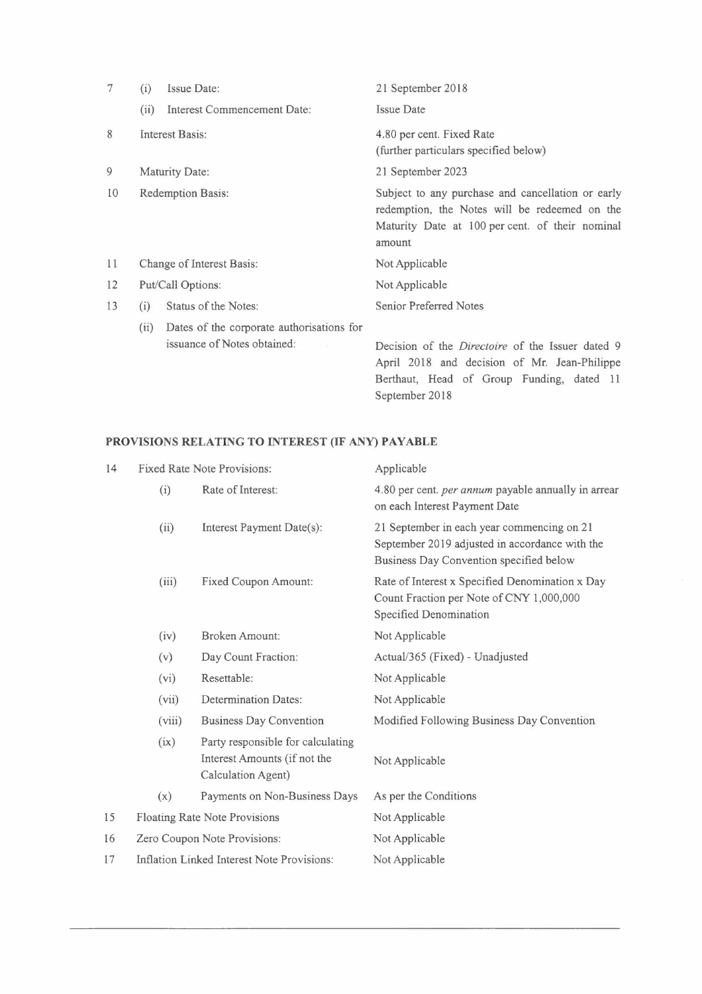| 7  | (i)                                                                                   | Issue Date:                                                              | 21 September 2018                                                                                                                                               |
|----|---------------------------------------------------------------------------------------|--------------------------------------------------------------------------|-----------------------------------------------------------------------------------------------------------------------------------------------------------------|
|    | (ii)                                                                                  | Interest Commencement Date:                                              | Issue Date                                                                                                                                                      |
| 8  | Interest Basis:<br>4.80 per cent. Fixed Rate<br>(further particulars specified below) |                                                                          |                                                                                                                                                                 |
| 9  | Maturity Date:<br>21 September 2023                                                   |                                                                          |                                                                                                                                                                 |
| 10 |                                                                                       | <b>Redemption Basis:</b>                                                 | Subject to any purchase and cancellation or early<br>redemption, the Notes will be redeemed on the<br>Maturity Date at 100 per cent. of their nominal<br>amount |
| 11 |                                                                                       | <b>Change of Interest Basis:</b>                                         | Not Applicable                                                                                                                                                  |
| 12 | Put/Call Options:                                                                     |                                                                          | Not Applicable                                                                                                                                                  |
| 13 | (i)                                                                                   | Status of the Notes:                                                     | <b>Senior Preferred Notes</b>                                                                                                                                   |
|    | (ii)                                                                                  | Dates of the corporate authorisations for<br>issuance of Notes obtained: | Decision of the <i>Directoire</i> of the Issuer dated 9<br>April 2018 and decision of Mr. Jean-Philippe                                                         |

September 2018

Berthaut, Head of Group Funding, dated 11

# **PROVISIONS RELATING TO INTEREST (IF ANY) PAYABLE**

| 14 |                                            | <b>Fixed Rate Note Provisions:</b>                                                      | Applicable                                                                                                                              |
|----|--------------------------------------------|-----------------------------------------------------------------------------------------|-----------------------------------------------------------------------------------------------------------------------------------------|
|    | (i)                                        | Rate of Interest:                                                                       | 4.80 per cent. per annum payable annually in arrear<br>on each Interest Payment Date                                                    |
|    | (ii)                                       | Interest Payment Date(s):                                                               | 21 September in each year commencing on 21<br>September 2019 adjusted in accordance with the<br>Business Day Convention specified below |
|    | (iii)                                      | Fixed Coupon Amount:                                                                    | Rate of Interest x Specified Denomination x Day<br>Count Fraction per Note of CNY 1,000,000<br>Specified Denomination                   |
|    | (iv)                                       | Broken Amount:                                                                          | Not Applicable                                                                                                                          |
|    | (v)                                        | Day Count Fraction:                                                                     | Actual/365 (Fixed) - Unadjusted                                                                                                         |
|    | (vi)                                       | Resettable:                                                                             | Not Applicable                                                                                                                          |
|    | (vii)                                      | <b>Determination Dates:</b>                                                             | Not Applicable                                                                                                                          |
|    | (viii)                                     | <b>Business Day Convention</b>                                                          | Modified Following Business Day Convention                                                                                              |
|    | (ix)                                       | Party responsible for calculating<br>Interest Amounts (if not the<br>Calculation Agent) | Not Applicable                                                                                                                          |
|    | (x)                                        | Payments on Non-Business Days                                                           | As per the Conditions                                                                                                                   |
| 15 | Floating Rate Note Provisions              |                                                                                         | Not Applicable                                                                                                                          |
| 16 | Zero Coupon Note Provisions:               |                                                                                         | Not Applicable                                                                                                                          |
| 17 | Inflation Linked Interest Note Provisions: |                                                                                         | Not Applicable                                                                                                                          |
|    |                                            |                                                                                         |                                                                                                                                         |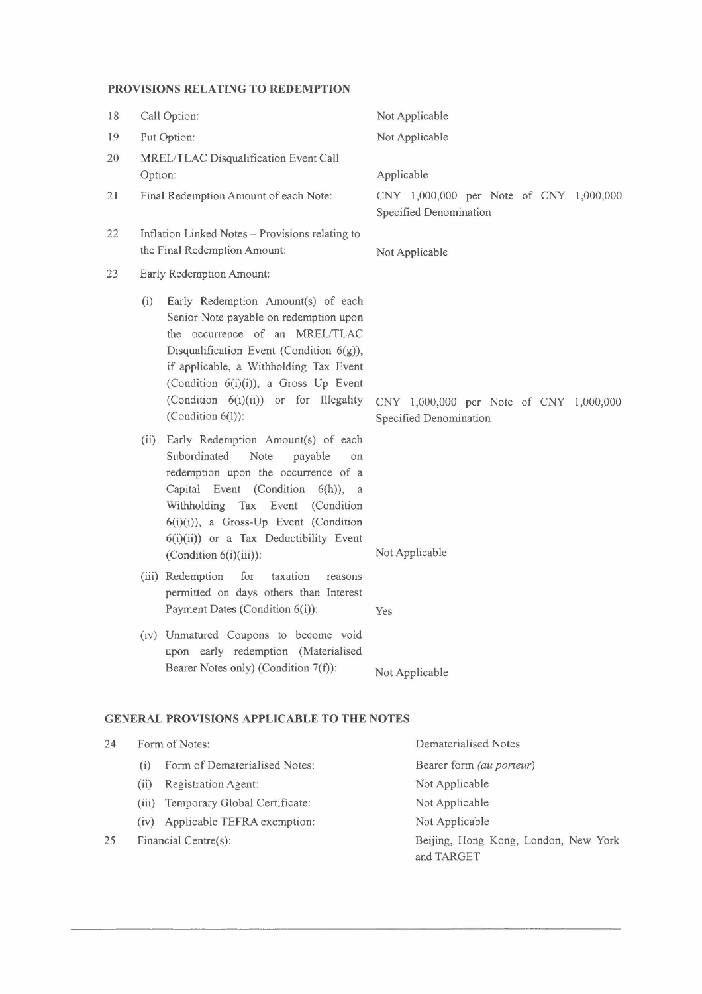# **PROVISIONS RELATING TO REDEMPTION**

| 18       |                                                                                 | Call Option:                                                                                                                                                                                                                                                                                                    | Not Applicable                                                    |  |
|----------|---------------------------------------------------------------------------------|-----------------------------------------------------------------------------------------------------------------------------------------------------------------------------------------------------------------------------------------------------------------------------------------------------------------|-------------------------------------------------------------------|--|
| 19       |                                                                                 | Put Option:                                                                                                                                                                                                                                                                                                     | Not Applicable                                                    |  |
| 20<br>21 | Option:                                                                         | MREL/TLAC Disqualification Event Call<br>Final Redemption Amount of each Note:                                                                                                                                                                                                                                  | Applicable<br>CNY 1,000,000 per Note of CNY 1,000,000             |  |
| 22       | Inflation Linked Notes - Provisions relating to<br>the Final Redemption Amount: |                                                                                                                                                                                                                                                                                                                 | Specified Denomination<br>Not Applicable                          |  |
| 23       |                                                                                 | Early Redemption Amount:                                                                                                                                                                                                                                                                                        |                                                                   |  |
|          | (i)                                                                             | Early Redemption Amount(s) of each<br>Senior Note payable on redemption upon<br>the occurrence of an MREL/TLAC<br>Disqualification Event (Condition 6(g)),<br>if applicable, a Withholding Tax Event<br>(Condition 6(i)(i)), a Gross Up Event<br>(Condition 6(i)(ii)) or for Illegality<br>(Condition $6(l)$ ): | CNY 1,000,000 per Note of CNY 1,000,000<br>Specified Denomination |  |
|          | (ii)                                                                            | Early Redemption Amount(s) of each<br>Subordinated<br>Note<br>payable<br>on<br>redemption upon the occurrence of a<br>Capital Event (Condition 6(h)), a<br>Withholding Tax Event (Condition<br>$6(i)(i)$ , a Gross-Up Event (Condition<br>$6(i)(ii)$ or a Tax Deductibility Event<br>(Condition $6(i)(iii)$ ):  | Not Applicable                                                    |  |
|          |                                                                                 | (iii) Redemption<br>for<br>taxation<br>reasons<br>permitted on days others than Interest<br>Payment Dates (Condition 6(i)):                                                                                                                                                                                     | Yes                                                               |  |
|          |                                                                                 | (iv) Unmatured Coupons to become void<br>upon early redemption (Materialised<br>Bearer Notes only) (Condition 7(f)):                                                                                                                                                                                            | Not Applicable                                                    |  |
|          | <b>GENERAL PROVISIONS APPLICABLE TO THE NOTES</b>                               |                                                                                                                                                                                                                                                                                                                 |                                                                   |  |

- 24 Form of Notes: (i) Form of Dematerialised Notes: (ii) Registration Agent: (iii) Temporary Global Certificate: (iv) Applicable TEFRA exemption: Dematerialised Notes Bearer form *(au porteur)*  Not Applicable Not Applicable Not Applicable
- Financial Centre(s): 25

Beijing, Hong Kong, London, New York and TARGET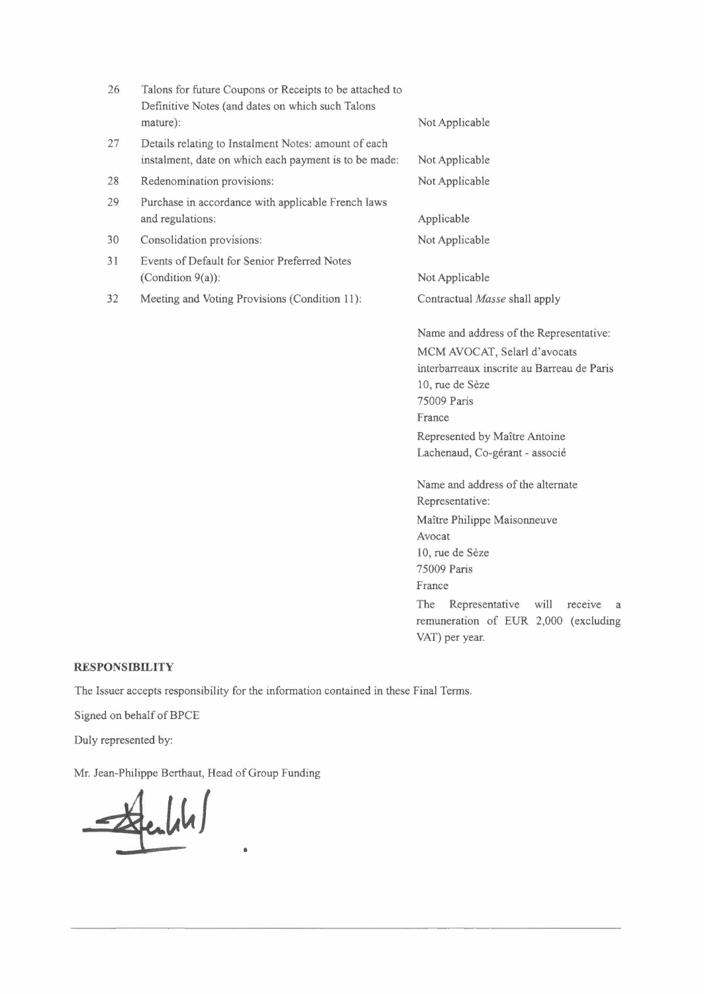| 26 | Talons for future Coupons or Receipts to be attached to<br>Definitive Notes (and dates on which such Talons<br>mature): | Not Applicable                                                                                                                                                                                                                                       |
|----|-------------------------------------------------------------------------------------------------------------------------|------------------------------------------------------------------------------------------------------------------------------------------------------------------------------------------------------------------------------------------------------|
| 27 | Details relating to Instalment Notes: amount of each<br>instalment, date on which each payment is to be made:           | Not Applicable                                                                                                                                                                                                                                       |
| 28 | Redenomination provisions:                                                                                              | Not Applicable                                                                                                                                                                                                                                       |
| 29 | Purchase in accordance with applicable French laws<br>and regulations:                                                  | Applicable                                                                                                                                                                                                                                           |
| 30 | Consolidation provisions:                                                                                               | Not Applicable                                                                                                                                                                                                                                       |
| 31 | Events of Default for Senior Preferred Notes                                                                            |                                                                                                                                                                                                                                                      |
|    | (Condition $9(a)$ ):                                                                                                    | Not Applicable                                                                                                                                                                                                                                       |
| 32 | Meeting and Voting Provisions (Condition 11):                                                                           | Contractual Masse shall apply                                                                                                                                                                                                                        |
|    |                                                                                                                         | Name and address of the Representative:<br>MCM AVOCAT, Selarl d'avocats<br>interbarreaux inscrite au Barreau de Paris<br>10, rue de Sèze<br>75009 Paris<br>France<br>Represented by Maître Antoine<br>Lachenaud, Co-gérant - associé                 |
|    |                                                                                                                         | Name and address of the alternate<br>Representative:<br>Maître Philippe Maisonneuve<br>Avocat<br>10, rue de Sèze<br>75009 Paris<br>France<br>The<br>will<br>Representative<br>receive<br>a<br>remuneration of EUR 2,000 (excluding<br>VAT) per year. |

# **RESPONSIBILITY**

The Issuer accepts responsibility for the information contained in these Final Terms.

•

Signed on behalf of BPCE

Duly represented by:

Mr. Jean-Philippe Berthaut, Head of Group Funding

 $\frac{1}{2}$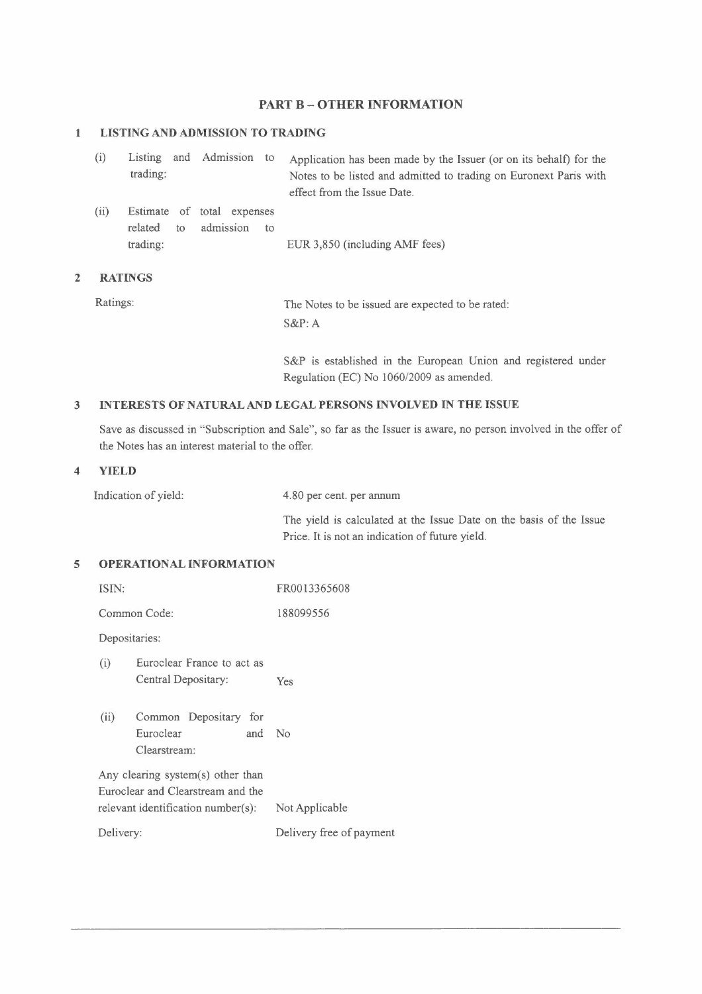# **PART B - OTHER INFORMATION**

#### **1 LISTING AND ADMISSION TO TRADING**

| (i)  | trading:      | Listing and Admission to                                   | Application has been made by the Issuer (or on its behalf) for the<br>Notes to be listed and admitted to trading on Euronext Paris with<br>effect from the Issue Date. |
|------|---------------|------------------------------------------------------------|------------------------------------------------------------------------------------------------------------------------------------------------------------------------|
| (ii) | related<br>to | Estimate of total expenses<br>admission<br>10 <sup>2</sup> |                                                                                                                                                                        |
|      | trading:      |                                                            | EUR 3,850 (including AMF fees)                                                                                                                                         |

## **2 RATINGS**

| Ratings: | The Notes to be issued are expected to be rated: |
|----------|--------------------------------------------------|
|          | $S\&P: A$                                        |

S&P is established in the European Union and registered under Regulation (EC) No 1060/2009 as amended.

#### **3 INTERESTS OF NATURAL AND LEGAL PERSONS INVOLVED IN THE ISSUE**

Save as discussed in "Subscription and Sale", so far as the Issuer is aware, no person involved in the offer of the Notes has an interest material to the offer.

#### **4 YIELD**

Indication of yield: 4.80 per cent. per annum

The yield is calculated at the Issue Date on the basis of the Issue Price. It is not an indication of future yield.

## **5 OPERATIONAL INFORMATION**

| ISIN:         |                                                                                                              | FR0013365608             |
|---------------|--------------------------------------------------------------------------------------------------------------|--------------------------|
|               | Common Code:                                                                                                 | 188099556                |
| Depositaries: |                                                                                                              |                          |
| (i)           | Euroclear France to act as<br>Central Depositary:                                                            | Yes                      |
| (ii)          | Common Depositary for<br>Euroclear<br>and<br>Clearstream:                                                    | No                       |
|               | Any clearing system(s) other than<br>Euroclear and Clearstream and the<br>relevant identification number(s): | Not Applicable           |
| Delivery:     |                                                                                                              | Delivery free of payment |
|               |                                                                                                              |                          |